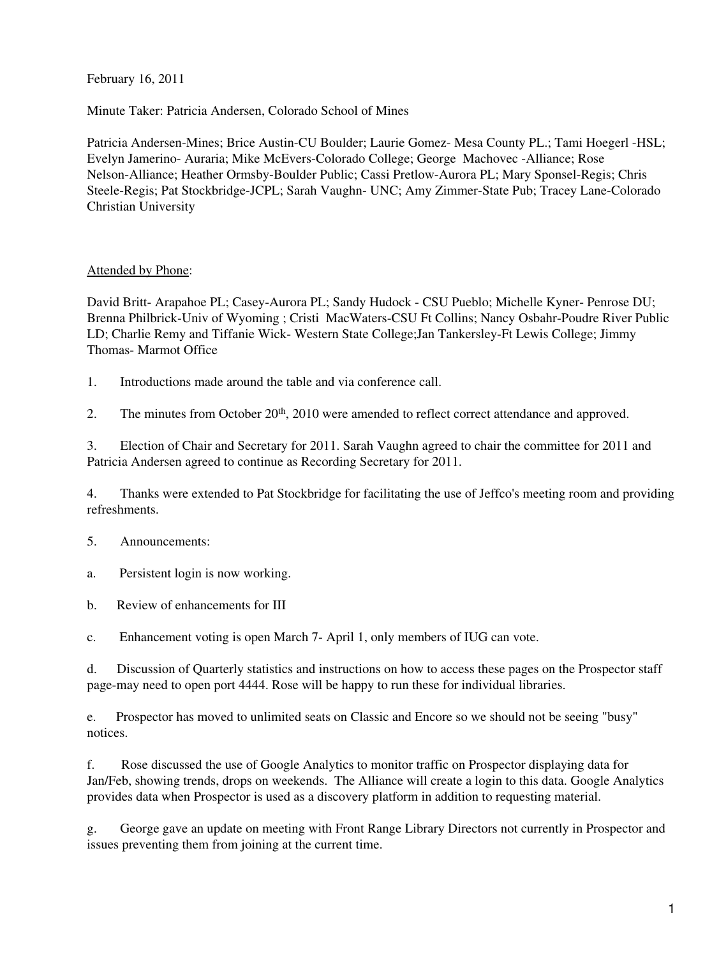February 16, 2011

Minute Taker: Patricia Andersen, Colorado School of Mines

Patricia Andersen-Mines; Brice Austin-CU Boulder; Laurie Gomez- Mesa County PL.; Tami Hoegerl -HSL; Evelyn Jamerino- Auraria; Mike McEvers-Colorado College; George Machovec -Alliance; Rose Nelson-Alliance; Heather Ormsby-Boulder Public; Cassi Pretlow-Aurora PL; Mary Sponsel-Regis; Chris Steele-Regis; Pat Stockbridge-JCPL; Sarah Vaughn- UNC; Amy Zimmer-State Pub; Tracey Lane-Colorado Christian University

## Attended by Phone:

David Britt- Arapahoe PL; Casey-Aurora PL; Sandy Hudock - CSU Pueblo; Michelle Kyner- Penrose DU; Brenna Philbrick-Univ of Wyoming ; Cristi MacWaters-CSU Ft Collins; Nancy Osbahr-Poudre River Public LD; Charlie Remy and Tiffanie Wick- Western State College;Jan Tankersley-Ft Lewis College; Jimmy Thomas- Marmot Office

1. Introductions made around the table and via conference call.

2. The minutes from October 20<sup>th</sup>, 2010 were amended to reflect correct attendance and approved.

3. Election of Chair and Secretary for 2011. Sarah Vaughn agreed to chair the committee for 2011 and Patricia Andersen agreed to continue as Recording Secretary for 2011.

4. Thanks were extended to Pat Stockbridge for facilitating the use of Jeffco's meeting room and providing refreshments.

5. Announcements:

a. Persistent login is now working.

b. Review of enhancements for III

c. Enhancement voting is open March 7- April 1, only members of IUG can vote.

d. Discussion of Quarterly statistics and instructions on how to access these pages on the Prospector staff page-may need to open port 4444. Rose will be happy to run these for individual libraries.

e. Prospector has moved to unlimited seats on Classic and Encore so we should not be seeing "busy" notices.

f. Rose discussed the use of Google Analytics to monitor traffic on Prospector displaying data for Jan/Feb, showing trends, drops on weekends. The Alliance will create a login to this data. Google Analytics provides data when Prospector is used as a discovery platform in addition to requesting material.

g. George gave an update on meeting with Front Range Library Directors not currently in Prospector and issues preventing them from joining at the current time.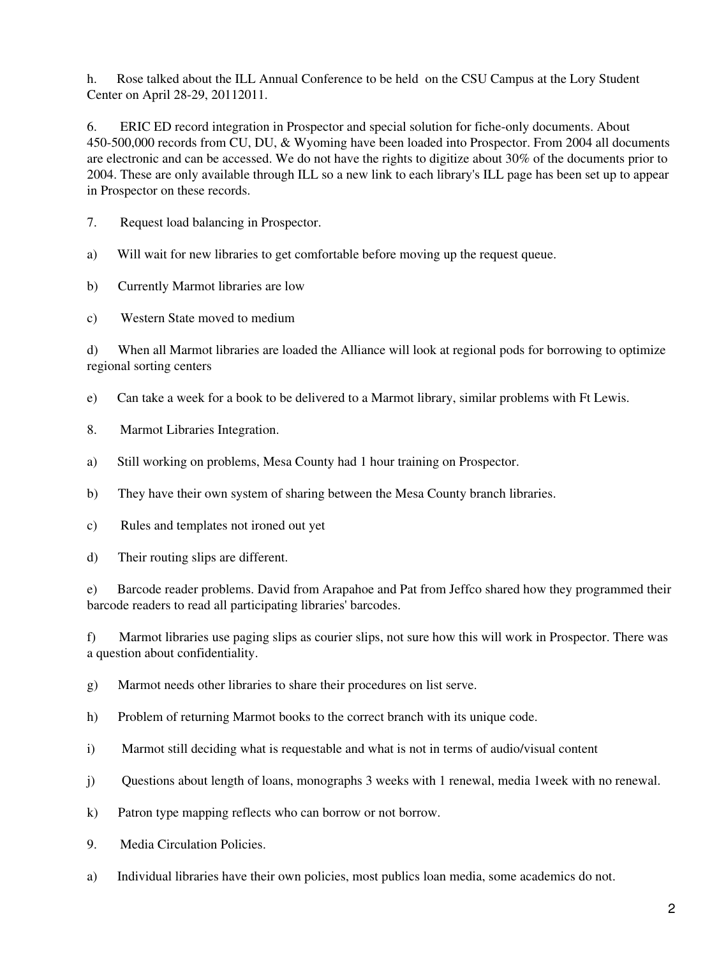h. Rose talked about the ILL Annual Conference to be held on the CSU Campus at the Lory Student Center on April 28-29, 20112011.

6. ERIC ED record integration in Prospector and special solution for fiche-only documents. About 450-500,000 records from CU, DU, & Wyoming have been loaded into Prospector. From 2004 all documents are electronic and can be accessed. We do not have the rights to digitize about 30% of the documents prior to 2004. These are only available through ILL so a new link to each library's ILL page has been set up to appear in Prospector on these records.

7. Request load balancing in Prospector.

a) Will wait for new libraries to get comfortable before moving up the request queue.

b) Currently Marmot libraries are low

c) Western State moved to medium

d) When all Marmot libraries are loaded the Alliance will look at regional pods for borrowing to optimize regional sorting centers

e) Can take a week for a book to be delivered to a Marmot library, similar problems with Ft Lewis.

- 8. Marmot Libraries Integration.
- a) Still working on problems, Mesa County had 1 hour training on Prospector.

b) They have their own system of sharing between the Mesa County branch libraries.

c) Rules and templates not ironed out yet

d) Their routing slips are different.

e) Barcode reader problems. David from Arapahoe and Pat from Jeffco shared how they programmed their barcode readers to read all participating libraries' barcodes.

f) Marmot libraries use paging slips as courier slips, not sure how this will work in Prospector. There was a question about confidentiality.

g) Marmot needs other libraries to share their procedures on list serve.

h) Problem of returning Marmot books to the correct branch with its unique code.

i) Marmot still deciding what is requestable and what is not in terms of audio/visual content

j) Questions about length of loans, monographs 3 weeks with 1 renewal, media 1week with no renewal.

k) Patron type mapping reflects who can borrow or not borrow.

9. Media Circulation Policies.

a) Individual libraries have their own policies, most publics loan media, some academics do not.